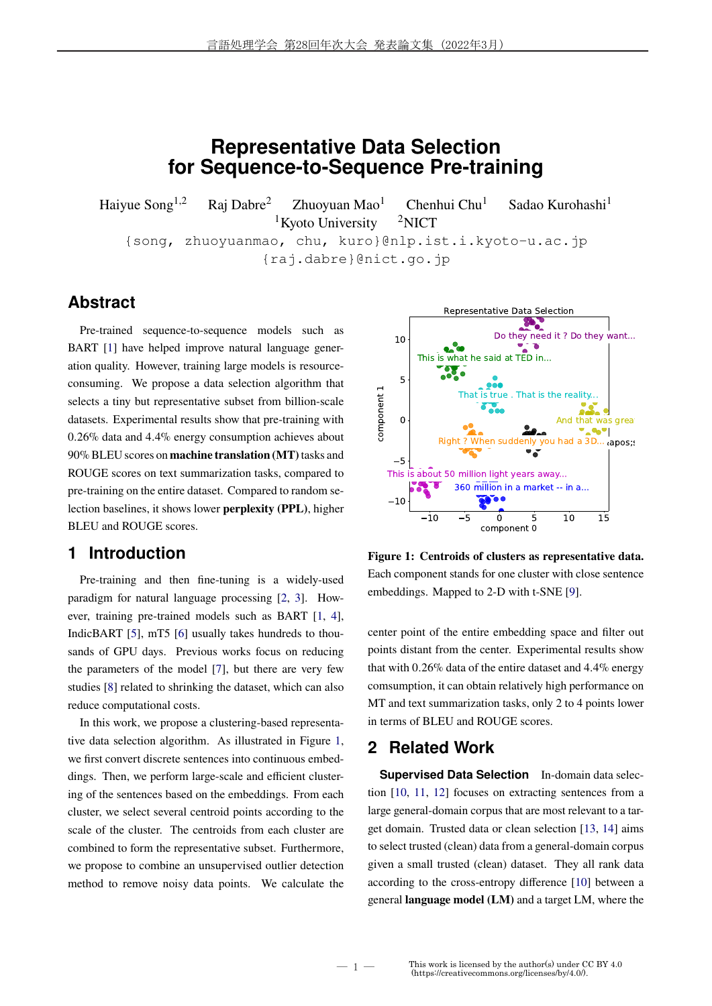# **Representative Data Selection for Sequence-to-Sequence Pre-training**

Haiyue Song<sup>1,2</sup> Raj Dabre<sup>2</sup> Zhuoyuan Mao<sup>1</sup> Chenhui Chu<sup>1</sup> Sadao Kurohashi<sup>1</sup> <sup>1</sup>Kyoto University  $2$ NICT

{song, zhuoyuanmao, chu, kuro}@nlp.ist.i.kyoto-u.ac.jp {raj.dabre}@nict.go.jp

# **Abstract**

Pre-trained sequence-to-sequence models such as BART [1] have helped improve natural language generation quality. However, training large models is resourceconsuming. We propose a data selection algorithm that selects a tiny but representative subset from billion-scale datasets. Experimental results show that pre-training with 0*.*26% data and 4*.*4% energy consumption achieves about 90% BLEU scores on **machine translation (MT)**tasks and ROUGE scores on text summarization tasks, compared to pre-training on the entire dataset. Compared to random selection baselines, it shows lower **perplexity (PPL)**, higher BLEU and ROUGE scores.

# **1 Introduction**

Pre-training and then fine-tuning is a widely-used paradigm for natural language processing [2, 3]. However, training pre-trained models such as BART [1, 4], IndicBART [5], mT5 [6] usually takes hundreds to thousands of GPU days. Previous works focus on reducing the parameters of the model [7], but there are very few studies [8] related to shrinking the dataset, which can also reduce computational costs.

In this work, we propose a clustering-based representative data selection algorithm. As illustrated in Figure 1, we first convert discrete sentences into continuous embeddings. Then, we perform large-scale and efficient clustering of the sentences based on the embeddings. From each cluster, we select several centroid points according to the scale of the cluster. The centroids from each cluster are combined to form the representative subset. Furthermore, we propose to combine an unsupervised outlier detection method to remove noisy data points. We calculate the



**Figure 1: Centroids of clusters as representative data.** Each component stands for one cluster with close sentence embeddings. Mapped to 2-D with t-SNE [9].

center point of the entire embedding space and filter out points distant from the center. Experimental results show that with 0*.*26% data of the entire dataset and 4*.*4% energy comsumption, it can obtain relatively high performance on MT and text summarization tasks, only 2 to 4 points lower in terms of BLEU and ROUGE scores.

## **2 Related Work**

― 1 ―

**Supervised Data Selection** In-domain data selection [10, 11, 12] focuses on extracting sentences from a large general-domain corpus that are most relevant to a target domain. Trusted data or clean selection [13, 14] aims to select trusted (clean) data from a general-domain corpus given a small trusted (clean) dataset. They all rank data according to the cross-entropy difference [10] between a general **language model (LM)** and a target LM, where the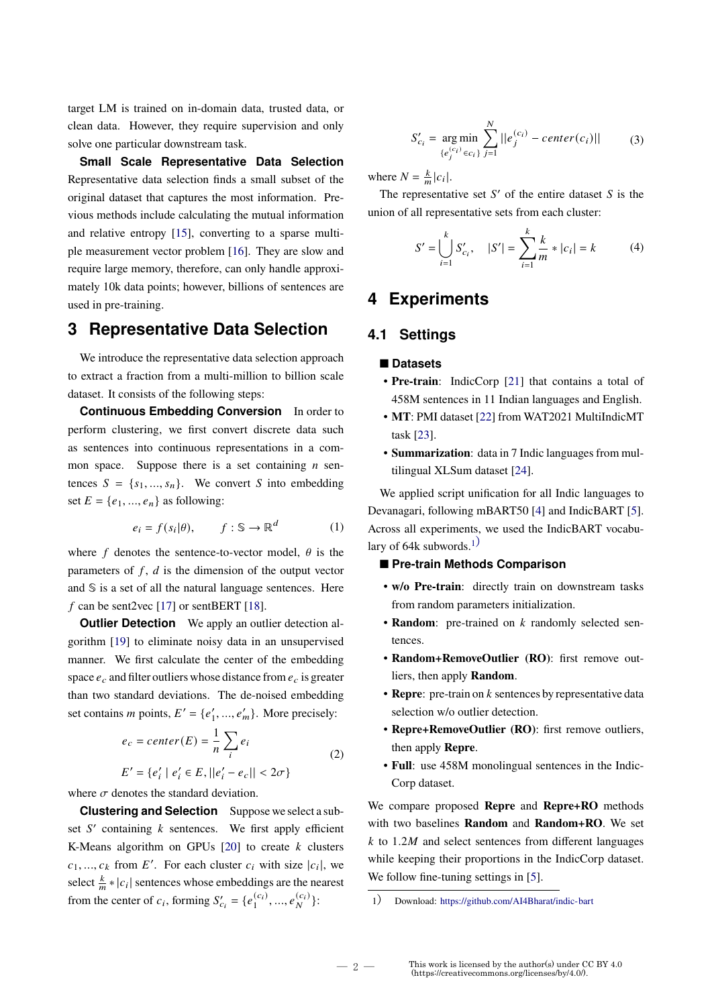target LM is trained on in-domain data, trusted data, or clean data. However, they require supervision and only solve one particular downstream task.

**Small Scale Representative Data Selection** Representative data selection finds a small subset of the original dataset that captures the most information. Previous methods include calculating the mutual information and relative entropy [15], converting to a sparse multiple measurement vector problem [16]. They are slow and require large memory, therefore, can only handle approximately 10k data points; however, billions of sentences are used in pre-training.

## **3 Representative Data Selection**

We introduce the representative data selection approach to extract a fraction from a multi-million to billion scale dataset. It consists of the following steps:

**Continuous Embedding Conversion** In order to perform clustering, we first convert discrete data such as sentences into continuous representations in a common space. Suppose there is a set containing  $n$  sentences  $S = \{s_1, ..., s_n\}$ . We convert S into embedding set  $E = \{e_1, ..., e_n\}$  as following:

$$
e_i = f(s_i | \theta), \qquad f: \mathbb{S} \to \mathbb{R}^d \tag{1}
$$

where f denotes the sentence-to-vector model,  $\theta$  is the parameters of  $f$ ,  $d$  is the dimension of the output vector and  $\hat{S}$  is a set of all the natural language sentences. Here f can be sent2vec [17] or sentBERT [18].

**Outlier Detection** We apply an outlier detection algorithm [19] to eliminate noisy data in an unsupervised manner. We first calculate the center of the embedding space  $e_c$  and filter outliers whose distance from  $e_c$  is greater than two standard deviations. The de-noised embedding set contains *m* points,  $E' = \{e'_1, ..., e'_m\}$ . More precisely:

$$
e_c = center(E) = \frac{1}{n} \sum_i e_i
$$
  
\n
$$
E' = \{e'_i \mid e'_i \in E, ||e'_i - e_c|| < 2\sigma\}
$$
\n
$$
(2)
$$

where  $\sigma$  denotes the standard deviation.

**Clustering and Selection** Suppose we select a subset  $S'$  containing  $k$  sentences. We first apply efficient K-Means algorithm on GPUs  $[20]$  to create k clusters  $c_1, ..., c_k$  from E'. For each cluster  $c_i$  with size  $|c_i|$ , we select  $\frac{k}{m} * |c_i|$  sentences whose embeddings are the nearest from the center of  $c_i$ , forming  $S'_{c_i} = \{e_1^{(c_i)}\}$  $\binom{(c_i)}{1}, \ldots, e_N^{(c_i)}$ :

 $S'_{c_i} = \arg\min$  $\{e_j^{(c_i)}\in c_i\}$  $\sum_{i=1}^{N}$  $j=1$  $||e_j^{(c_i)} - center(c_i)||$  (3)

where  $N = \frac{k}{m} |c_i|$ .

The representative set  $S'$  of the entire dataset  $S$  is the union of all representative sets from each cluster:

$$
S' = \bigcup_{i=1}^{k} S'_{c_i}, \quad |S'| = \sum_{i=1}^{k} \frac{k}{m} * |c_i| = k \tag{4}
$$

# **4 Experiments**

#### **4.1 Settings**

#### ■ **Datasets**

- **Pre-train**: IndicCorp [21] that contains a total of 458M sentences in 11 Indian languages and English.
- **MT**: PMI dataset [22] from WAT2021 MultiIndicMT task [23].
- **Summarization**: data in 7 Indic languages from multilingual XLSum dataset [24].

We applied script unification for all Indic languages to Devanagari, following mBART50 [4] and IndicBART [5]. Across all experiments, we used the IndicBART vocabulary of 64k subwords.<sup>1)</sup>

#### ■ Pre-train Methods Comparison

- **w/o Pre-train**: directly train on downstream tasks from random parameters initialization.
- **Random**: pre-trained on *k* randomly selected sentences.
- **Random+RemoveOutlier (RO)**: first remove outliers, then apply **Random**.
- $\bullet$  **Repre**: pre-train on  $k$  sentences by representative data selection w/o outlier detection.
- **Repre+RemoveOutlier (RO)**: first remove outliers, then apply **Repre**.
- **Full**: use 458M monolingual sentences in the Indic-Corp dataset.

We compare proposed **Repre** and **Repre+RO** methods with two baselines **Random** and **Random+RO**. We set  $k$  to 1.2*M* and select sentences from different languages while keeping their proportions in the IndicCorp dataset. We follow fine-tuning settings in [5].

<sup>1</sup>) Download: https://github.com/AI4Bharat/indic-bart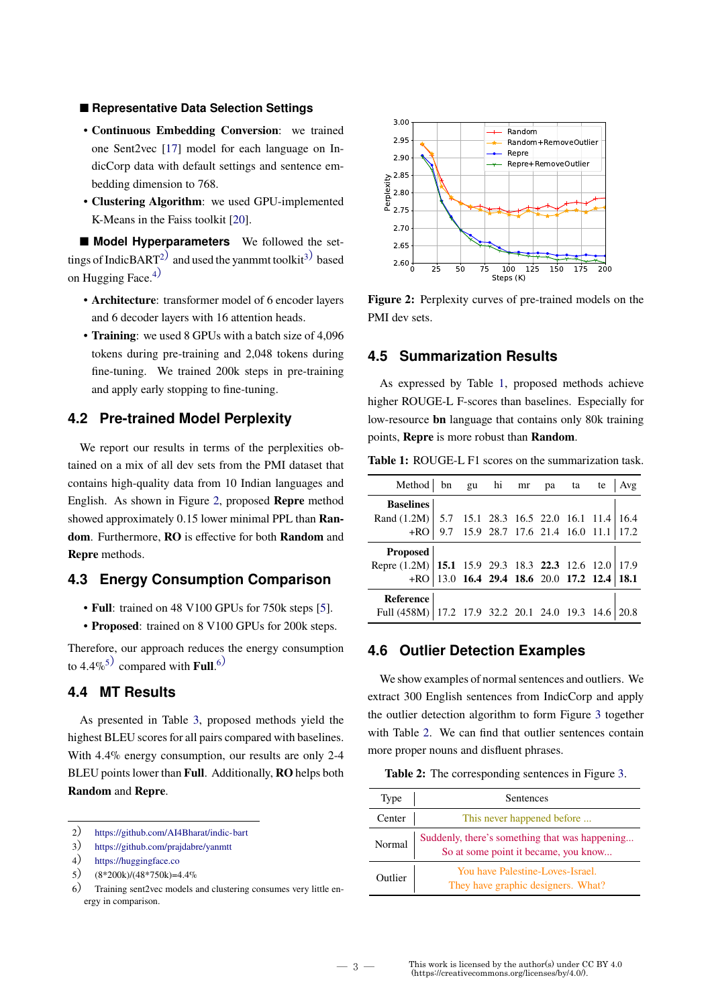#### ■ **Representative Data Selection Settings**

- **Continuous Embedding Conversion**: we trained one Sent2vec [17] model for each language on IndicCorp data with default settings and sentence embedding dimension to 768.
- **Clustering Algorithm**: we used GPU-implemented K-Means in the Faiss toolkit [20].

■ **Model Hyperparameters** We followed the settings of IndicBART<sup>2)</sup> and used the yanmmt toolkit<sup>3)</sup> based on Hugging Face. $4)$ 

- **Architecture**: transformer model of 6 encoder layers and 6 decoder layers with 16 attention heads.
- **Training**: we used 8 GPUs with a batch size of 4,096 tokens during pre-training and 2,048 tokens during fine-tuning. We trained 200k steps in pre-training and apply early stopping to fine-tuning.

### **4.2 Pre-trained Model Perplexity**

We report our results in terms of the perplexities obtained on a mix of all dev sets from the PMI dataset that contains high-quality data from 10 Indian languages and English. As shown in Figure 2, proposed **Repre** method showed approximately 0*.*15 lower minimal PPL than **Random**. Furthermore, **RO** is effective for both **Random** and **Repre** methods.

## **4.3 Energy Consumption Comparison**

- **Full**: trained on 48 V100 GPUs for 750k steps [5].
- **Proposed**: trained on 8 V100 GPUs for 200k steps.

Therefore, our approach reduces the energy consumption to  $4.4\%$ <sup>5)</sup> compared with **Full**.<sup>6)</sup>

### **4.4 MT Results**

As presented in Table 3, proposed methods yield the highest BLEU scores for all pairs compared with baselines. With 4*.*4% energy consumption, our results are only 2-4 BLEU points lower than **Full**. Additionally, **RO** helps both **Random** and **Repre**.



<sup>3</sup>) https://github.com/prajdabre/yanmtt

5)  $(8*200k)/(48*750k)=4.4%$ 



**Figure 2:** Perplexity curves of pre-trained models on the PMI dev sets.

#### **4.5 Summarization Results**

As expressed by Table 1, proposed methods achieve higher ROUGE-L F-scores than baselines. Especially for low-resource **bn** language that contains only 80k training points, **Repre** is more robust than **Random**.

**Table 1:** ROUGE-L F1 scores on the summarization task.

| Method bn gu hi mr pa ta te                            |                                               |  |  |  | $ $ Avg |
|--------------------------------------------------------|-----------------------------------------------|--|--|--|---------|
| <b>Baselines</b>                                       |                                               |  |  |  |         |
| Rand (1.2M)   5.7 15.1 28.3 16.5 22.0 16.1 11.4   16.4 |                                               |  |  |  |         |
|                                                        | $+RO$ 9.7 15.9 28.7 17.6 21.4 16.0 11.1 17.2  |  |  |  |         |
| Proposed                                               |                                               |  |  |  |         |
| Repre (1.2M) 15.1 15.9 29.3 18.3 22.3 12.6 12.0 17.9   |                                               |  |  |  |         |
|                                                        | $+RO$ 13.0 16.4 29.4 18.6 20.0 17.2 12.4 18.1 |  |  |  |         |
| Reference                                              |                                               |  |  |  |         |
| Full (458M) 17.2 17.9 32.2 20.1 24.0 19.3 14.6         |                                               |  |  |  |         |

### **4.6 Outlier Detection Examples**

We show examples of normal sentences and outliers. We extract 300 English sentences from IndicCorp and apply the outlier detection algorithm to form Figure 3 together with Table 2. We can find that outlier sentences contain more proper nouns and disfluent phrases.

**Table 2:** The corresponding sentences in Figure 3.

| Type    | Sentences                                                                              |  |  |  |  |  |
|---------|----------------------------------------------------------------------------------------|--|--|--|--|--|
| Center  | This never happened before                                                             |  |  |  |  |  |
| Normal  | Suddenly, there's something that was happening<br>So at some point it became, you know |  |  |  |  |  |
| Outlier | You have Palestine-Loves-Israel.<br>They have graphic designers. What?                 |  |  |  |  |  |

<sup>4</sup>) https://huggingface.co

<sup>6</sup>) Training sent2vec models and clustering consumes very little energy in comparison.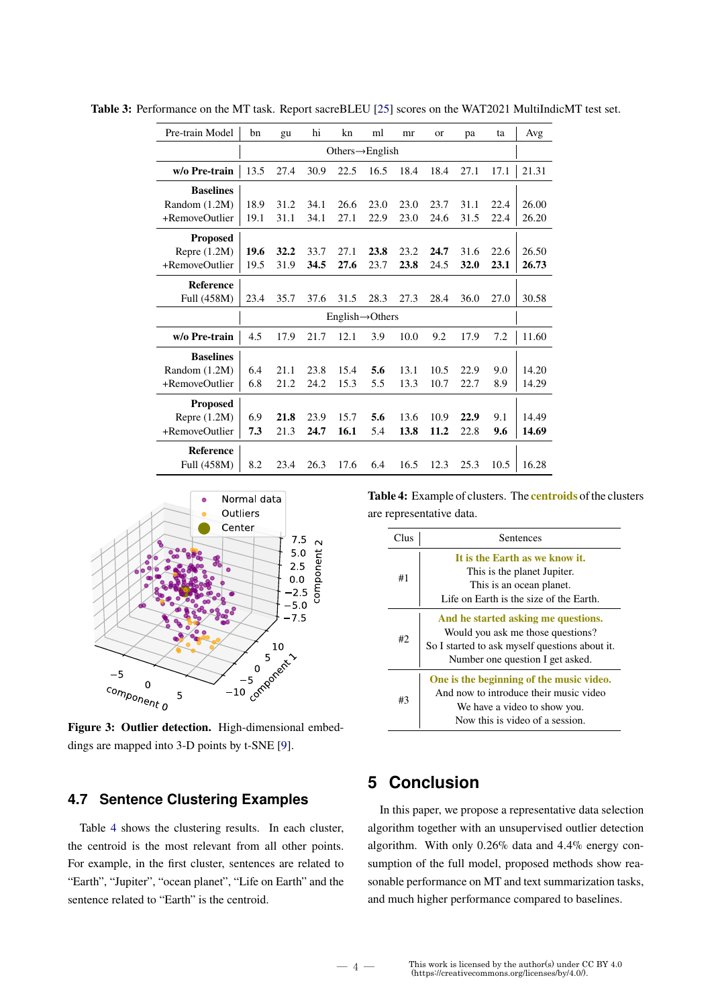| Pre-train Model  | bn                           | gu   | hi   | kn   | ml   | mr   | <b>or</b> | pa   | ta   | Avg   |
|------------------|------------------------------|------|------|------|------|------|-----------|------|------|-------|
|                  | Others $\rightarrow$ English |      |      |      |      |      |           |      |      |       |
| w/o Pre-train    | 13.5                         | 27.4 | 30.9 | 22.5 | 16.5 | 18.4 | 18.4      | 27.1 | 17.1 | 21.31 |
| <b>Baselines</b> |                              |      |      |      |      |      |           |      |      |       |
| Random (1.2M)    | 18.9                         | 31.2 | 34.1 | 26.6 | 23.0 | 23.0 | 23.7      | 31.1 | 22.4 | 26.00 |
| +RemoveOutlier   | 19.1                         | 31.1 | 34.1 | 27.1 | 22.9 | 23.0 | 24.6      | 31.5 | 22.4 | 26.20 |
| <b>Proposed</b>  |                              |      |      |      |      |      |           |      |      |       |
| Repre $(1.2M)$   | 19.6                         | 32.2 | 33.7 | 27.1 | 23.8 | 23.2 | 24.7      | 31.6 | 22.6 | 26.50 |
| +RemoveOutlier   | 19.5                         | 31.9 | 34.5 | 27.6 | 23.7 | 23.8 | 24.5      | 32.0 | 23.1 | 26.73 |
| <b>Reference</b> |                              |      |      |      |      |      |           |      |      |       |
| Full (458M)      | 23.4                         | 35.7 | 37.6 | 31.5 | 28.3 | 27.3 | 28.4      | 36.0 | 27.0 | 30.58 |
|                  | English $\rightarrow$ Others |      |      |      |      |      |           |      |      |       |
| w/o Pre-train    | 4.5                          | 17.9 | 21.7 | 12.1 | 3.9  | 10.0 | 9.2       | 17.9 | 7.2  | 11.60 |
| <b>Baselines</b> |                              |      |      |      |      |      |           |      |      |       |
| Random (1.2M)    | 6.4                          | 21.1 | 23.8 | 15.4 | 5.6  | 13.1 | 10.5      | 22.9 | 9.0  | 14.20 |
| +RemoveOutlier   | 6.8                          | 21.2 | 24.2 | 15.3 | 5.5  | 13.3 | 10.7      | 22.7 | 8.9  | 14.29 |
| <b>Proposed</b>  |                              |      |      |      |      |      |           |      |      |       |
| Repre $(1.2M)$   | 6.9                          | 21.8 | 23.9 | 15.7 | 5.6  | 13.6 | 10.9      | 22.9 | 9.1  | 14.49 |
| +RemoveOutlier   | 7.3                          | 21.3 | 24.7 | 16.1 | 5.4  | 13.8 | 11.2      | 22.8 | 9.6  | 14.69 |
| Reference        |                              |      |      |      |      |      |           |      |      |       |
| Full (458M)      | 8.2                          | 23.4 | 26.3 | 17.6 | 6.4  | 16.5 | 12.3      | 25.3 | 10.5 | 16.28 |

**Table 3:** Performance on the MT task. Report sacreBLEU [25] scores on the WAT2021 MultiIndicMT test set.



**Figure 3: Outlier detection.** High-dimensional embeddings are mapped into 3-D points by t-SNE [9].

### **4.7 Sentence Clustering Examples**

Table 4 shows the clustering results. In each cluster, the centroid is the most relevant from all other points. For example, in the first cluster, sentences are related to "Earth", "Jupiter", "ocean planet", "Life on Earth" and the sentence related to "Earth" is the centroid.

**Table 4:** Example of clusters. The **centroids** of the clusters are representative data.

| Clus | Sentences                                                                                                                                                      |  |  |  |  |  |  |
|------|----------------------------------------------------------------------------------------------------------------------------------------------------------------|--|--|--|--|--|--|
| #1   | It is the Earth as we know it.<br>This is the planet Jupiter.<br>This is an ocean planet.<br>Life on Earth is the size of the Earth.                           |  |  |  |  |  |  |
| #2.  | And he started asking me questions.<br>Would you ask me those questions?<br>So I started to ask myself questions about it.<br>Number one question I get asked. |  |  |  |  |  |  |
| #3   | One is the beginning of the music video.<br>And now to introduce their music video<br>We have a video to show you.<br>Now this is video of a session.          |  |  |  |  |  |  |

# **5 Conclusion**

In this paper, we propose a representative data selection algorithm together with an unsupervised outlier detection algorithm. With only 0*.*26% data and 4*.*4% energy consumption of the full model, proposed methods show reasonable performance on MT and text summarization tasks, and much higher performance compared to baselines.